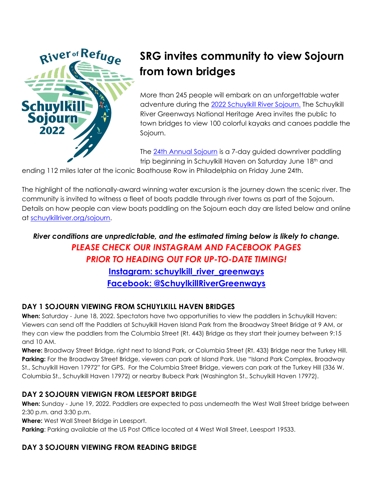

# **SRG invites community to view Sojourn from town bridges**

More than 245 people will embark on an unforgettable water adventure during the [2022](https://schuylkillriver.org/programs-projects/schuylkill-river-sojourn/) Schuylkill River Sojourn. The Schuylkill River Greenways National Heritage Area invites the public to town bridges to view 100 colorful kayaks and canoes paddle the Sojourn.

The 24th [Annual Sojourn](https://schuylkillriver.org/programs-projects/schuylkill-river-sojourn/) is a 7-day guided downriver paddling trip beginning in Schuylkill Haven on Saturday June 18th and

ending 112 miles later at the iconic Boathouse Row in Philadelphia on Friday June 24th.

The highlight of the nationally-award winning water excursion is the journey down the scenic river. The community is invited to witness a fleet of boats paddle through river towns as part of the Sojourn. Details on how people can view boats paddling on the Sojourn each day are listed below and online at [schuylkillriver.org/sojourn.](https://schuylkillriver.org/programs-projects/schuylkill-river-sojourn/)

# *River conditions are unpredictable, and the estimated timing below is likely to change. PLEASE CHECK OUR INSTAGRAM AND FACEBOOK PAGES PRIOR TO HEADING OUT FOR UP-TO-DATE TIMING!* **Instagram: [schuylkill\\_river\\_greenways](https://www.instagram.com/schuylkill_river_greenways/) [Facebook: @SchuylkillRiverGreenways](https://www.facebook.com/SchuylkillRiverGreenways/)**

## **DAY 1 SOJOURN VIEWING FROM SCHUYLKILL HAVEN BRIDGES**

**When:** Saturday - June 18, 2022. Spectators have two opportunities to view the paddlers in Schuylkill Haven: Viewers can send off the Paddlers at Schuylkill Haven Island Park from the Broadway Street Bridge at 9 AM, or they can view the paddlers from the Columbia Street (Rt. 443) Bridge as they start their journey between 9:15 and 10 AM.

**Where:** Broadway Street Bridge, right next to Island Park, or Columbia Street (Rt. 433) Bridge near the Turkey Hill. **Parking:** For the Broadway Street Bridge, viewers can park at Island Park. Use "Island Park Complex, Broadway St., Schuylkill Haven 17972" for GPS. For the Columbia Street Bridge, viewers can park at the Turkey Hill (336 W. Columbia St., Schuylkill Haven 17972) or nearby Bubeck Park (Washington St., Schuylkill Haven 17972).

#### **DAY 2 SOJOURN VIEWIGN FROM LEESPORT BRIDGE**

**When:** Sunday - June 19, 2022. Paddlers are expected to pass underneath the West Wall Street bridge between 2:30 p.m. and 3:30 p.m.

**Where:** West Wall Street Bridge in Leesport.

**Parking**: Parking available at the US Post Office located at 4 West Wall Street, Leesport 19533.

## **DAY 3 SOJOURN VIEWING FROM READING BRIDGE**